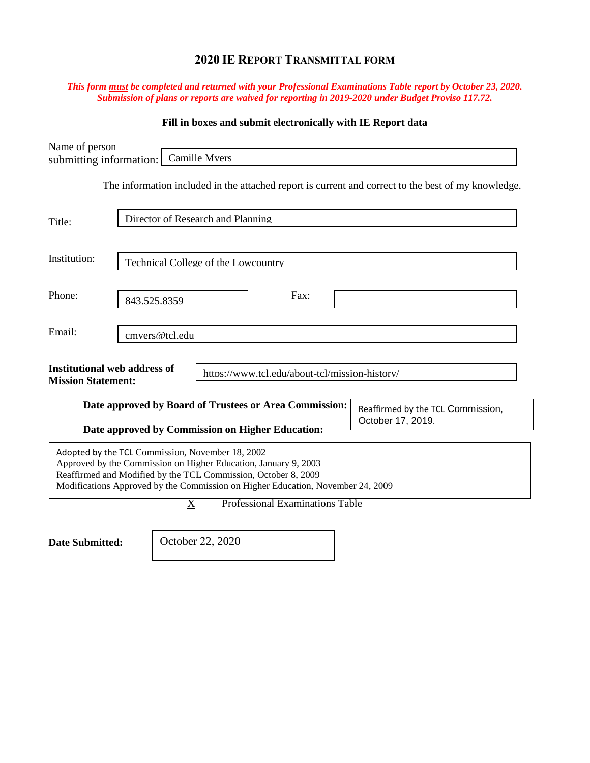# **2020 IE REPORT TRANSMITTAL FORM**

### *This form must be completed and returned with your Professional Examinations Table report by October 23, 2020. Submission of plans or reports are waived for reporting in 2019-2020 under Budget Proviso 117.72.*

## **Fill in boxes and submit electronically with IE Report data**

| Name of person<br>submitting information:                        |                                     |                       | <b>Camille Mvers</b> |                                                                                                                                                                                                                      |  |                                                                                                     |
|------------------------------------------------------------------|-------------------------------------|-----------------------|----------------------|----------------------------------------------------------------------------------------------------------------------------------------------------------------------------------------------------------------------|--|-----------------------------------------------------------------------------------------------------|
|                                                                  |                                     |                       |                      |                                                                                                                                                                                                                      |  | The information included in the attached report is current and correct to the best of my knowledge. |
| Title:                                                           | Director of Research and Planning   |                       |                      |                                                                                                                                                                                                                      |  |                                                                                                     |
| Institution:                                                     | Technical College of the Lowcountry |                       |                      |                                                                                                                                                                                                                      |  |                                                                                                     |
| Phone:                                                           | Fax:<br>843.525.8359                |                       |                      |                                                                                                                                                                                                                      |  |                                                                                                     |
| Email:                                                           |                                     | cmvers@tcl.edu        |                      |                                                                                                                                                                                                                      |  |                                                                                                     |
| <b>Institutional web address of</b><br><b>Mission Statement:</b> |                                     |                       |                      | https://www.tcl.edu/about-tcl/mission-history/                                                                                                                                                                       |  |                                                                                                     |
|                                                                  |                                     |                       |                      | Date approved by Board of Trustees or Area Commission:<br>Date approved by Commission on Higher Education:                                                                                                           |  | Reaffirmed by the TCL Commission,<br>October 17, 2019.                                              |
| Adopted by the TCL Commission, November 18, 2002                 |                                     |                       |                      | Approved by the Commission on Higher Education, January 9, 2003<br>Reaffirmed and Modified by the TCL Commission, October 8, 2009<br>Modifications Approved by the Commission on Higher Education, November 24, 2009 |  |                                                                                                     |
|                                                                  |                                     | $\overline{\text{X}}$ |                      | <b>Professional Examinations Table</b>                                                                                                                                                                               |  |                                                                                                     |
| <b>Date Submitted:</b>                                           |                                     |                       | October 22, 2020     |                                                                                                                                                                                                                      |  |                                                                                                     |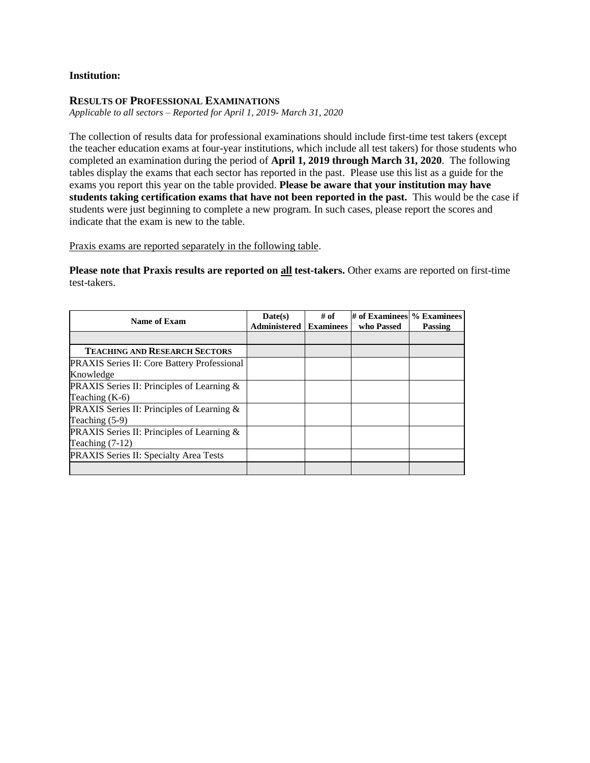### **Institution:**

#### **RESULTS OF PROFESSIONAL EXAMINATIONS**

*Applicable to all sectors – Reported for April 1, 2019- March 31, 2020*

The collection of results data for professional examinations should include first-time test takers (except the teacher education exams at four-year institutions, which include all test takers) for those students who completed an examination during the period of **April 1, 2019 through March 31, 2020**. The following tables display the exams that each sector has reported in the past. Please use this list as a guide for the exams you report this year on the table provided. **Please be aware that your institution may have students taking certification exams that have not been reported in the past.** This would be the case if students were just beginning to complete a new program. In such cases, please report the scores and indicate that the exam is new to the table.

Praxis exams are reported separately in the following table.

**Please note that Praxis results are reported on all test-takers.** Other exams are reported on first-time test-takers.

| Name of Exam                                         | Date(s)<br><b>Administered</b> | # of<br><b>Examinees</b> | $\#$ of Examinees $\%$ Examinees<br>who Passed | <b>Passing</b> |
|------------------------------------------------------|--------------------------------|--------------------------|------------------------------------------------|----------------|
|                                                      |                                |                          |                                                |                |
| <b>TEACHING AND RESEARCH SECTORS</b>                 |                                |                          |                                                |                |
| <b>PRAXIS Series II: Core Battery Professional</b>   |                                |                          |                                                |                |
| Knowledge                                            |                                |                          |                                                |                |
| <b>PRAXIS</b> Series II: Principles of Learning $\&$ |                                |                          |                                                |                |
| Teaching $(K-6)$                                     |                                |                          |                                                |                |
| PRAXIS Series II: Principles of Learning &           |                                |                          |                                                |                |
| Teaching $(5-9)$                                     |                                |                          |                                                |                |
| PRAXIS Series II: Principles of Learning &           |                                |                          |                                                |                |
| Teaching $(7-12)$                                    |                                |                          |                                                |                |
| <b>PRAXIS Series II: Specialty Area Tests</b>        |                                |                          |                                                |                |
|                                                      |                                |                          |                                                |                |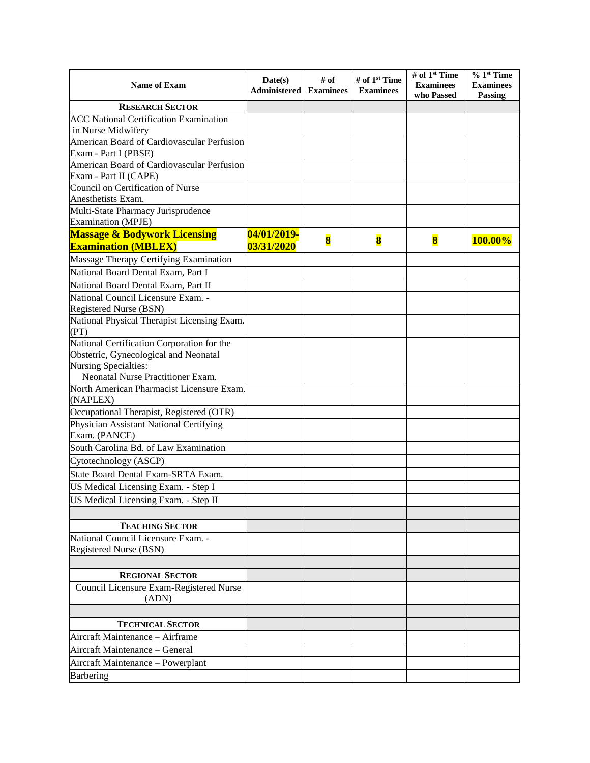| <b>Name of Exam</b>                                                 | Date(s)<br>Administered | # of<br><b>Examinees</b> | # of 1 <sup>st</sup> Time<br><b>Examinees</b> | # of 1 <sup>st</sup> Time<br><b>Examinees</b><br>who Passed | $% 1st$ Time<br><b>Examinees</b><br><b>Passing</b> |
|---------------------------------------------------------------------|-------------------------|--------------------------|-----------------------------------------------|-------------------------------------------------------------|----------------------------------------------------|
| <b>RESEARCH SECTOR</b>                                              |                         |                          |                                               |                                                             |                                                    |
| <b>ACC National Certification Examination</b>                       |                         |                          |                                               |                                                             |                                                    |
| in Nurse Midwifery                                                  |                         |                          |                                               |                                                             |                                                    |
| American Board of Cardiovascular Perfusion                          |                         |                          |                                               |                                                             |                                                    |
| Exam - Part I (PBSE)                                                |                         |                          |                                               |                                                             |                                                    |
| American Board of Cardiovascular Perfusion<br>Exam - Part II (CAPE) |                         |                          |                                               |                                                             |                                                    |
| Council on Certification of Nurse                                   |                         |                          |                                               |                                                             |                                                    |
| Anesthetists Exam.                                                  |                         |                          |                                               |                                                             |                                                    |
| Multi-State Pharmacy Jurisprudence<br><b>Examination</b> (MPJE)     |                         |                          |                                               |                                                             |                                                    |
| <b>Massage &amp; Bodywork Licensing</b>                             | 04/01/2019-             |                          |                                               |                                                             |                                                    |
| <b>Examination (MBLEX)</b>                                          | 03/31/2020              | $\bf{8}$                 | $\bf{8}$                                      | $\bf{8}$                                                    | 100.00%                                            |
| Massage Therapy Certifying Examination                              |                         |                          |                                               |                                                             |                                                    |
| National Board Dental Exam, Part I                                  |                         |                          |                                               |                                                             |                                                    |
| National Board Dental Exam, Part II                                 |                         |                          |                                               |                                                             |                                                    |
| National Council Licensure Exam. -                                  |                         |                          |                                               |                                                             |                                                    |
| Registered Nurse (BSN)                                              |                         |                          |                                               |                                                             |                                                    |
| National Physical Therapist Licensing Exam.<br>(PT)                 |                         |                          |                                               |                                                             |                                                    |
| National Certification Corporation for the                          |                         |                          |                                               |                                                             |                                                    |
| Obstetric, Gynecological and Neonatal                               |                         |                          |                                               |                                                             |                                                    |
| Nursing Specialties:<br>Neonatal Nurse Practitioner Exam.           |                         |                          |                                               |                                                             |                                                    |
| North American Pharmacist Licensure Exam.                           |                         |                          |                                               |                                                             |                                                    |
| (NAPLEX)                                                            |                         |                          |                                               |                                                             |                                                    |
| Occupational Therapist, Registered (OTR)                            |                         |                          |                                               |                                                             |                                                    |
| Physician Assistant National Certifying                             |                         |                          |                                               |                                                             |                                                    |
| Exam. (PANCE)                                                       |                         |                          |                                               |                                                             |                                                    |
| South Carolina Bd. of Law Examination                               |                         |                          |                                               |                                                             |                                                    |
| Cytotechnology (ASCP)                                               |                         |                          |                                               |                                                             |                                                    |
| State Board Dental Exam-SRTA Exam.                                  |                         |                          |                                               |                                                             |                                                    |
| US Medical Licensing Exam. - Step I                                 |                         |                          |                                               |                                                             |                                                    |
| US Medical Licensing Exam. - Step II                                |                         |                          |                                               |                                                             |                                                    |
|                                                                     |                         |                          |                                               |                                                             |                                                    |
| <b>TEACHING SECTOR</b><br>National Council Licensure Exam. -        |                         |                          |                                               |                                                             |                                                    |
| Registered Nurse (BSN)                                              |                         |                          |                                               |                                                             |                                                    |
|                                                                     |                         |                          |                                               |                                                             |                                                    |
| <b>REGIONAL SECTOR</b>                                              |                         |                          |                                               |                                                             |                                                    |
| Council Licensure Exam-Registered Nurse<br>(ADN)                    |                         |                          |                                               |                                                             |                                                    |
|                                                                     |                         |                          |                                               |                                                             |                                                    |
| <b>TECHNICAL SECTOR</b>                                             |                         |                          |                                               |                                                             |                                                    |
| Aircraft Maintenance - Airframe                                     |                         |                          |                                               |                                                             |                                                    |
| Aircraft Maintenance - General                                      |                         |                          |                                               |                                                             |                                                    |
| Aircraft Maintenance - Powerplant                                   |                         |                          |                                               |                                                             |                                                    |
| Barbering                                                           |                         |                          |                                               |                                                             |                                                    |